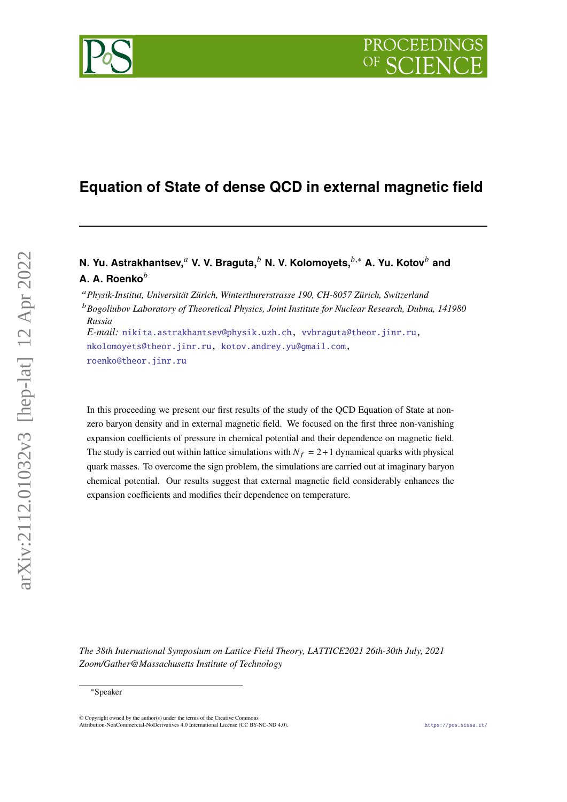# **Equation of State of dense QCD in external magnetic field**

# **N. Yu. Astrakhantsev,** av. V. Braguta, b N. V. Kolomoyets, b,\* A. Yu. Kotov b and **A. A. Roenko**

*Physik-Institut, Universität Zürich, Winterthurerstrasse 190, CH-8057 Zürich, Switzerland*

*Bogoliubov Laboratory of Theoretical Physics, Joint Institute for Nuclear Research, Dubna, 141980 Russia*

*E-mail:* [nikita.astrakhantsev@physik.uzh.ch,](mailto:nikita.astrakhantsev@physik.uzh.ch) [vvbraguta@theor.jinr.ru,](mailto:vvbraguta@theor.jinr.ru) [nkolomoyets@theor.jinr.ru,](mailto:nkolomoyets@theor.jinr.ru) [kotov.andrey.yu@gmail.com,](mailto:kotov.andrey.yu@gmail.com) [roenko@theor.jinr.ru](mailto:roenko@theor.jinr.ru)

In this proceeding we present our first results of the study of the QCD Equation of State at nonzero baryon density and in external magnetic field. We focused on the first three non-vanishing expansion coefficients of pressure in chemical potential and their dependence on magnetic field. The study is carried out within lattice simulations with  $N_f = 2 + 1$  dynamical quarks with physical quark masses. To overcome the sign problem, the simulations are carried out at imaginary baryon chemical potential. Our results suggest that external magnetic field considerably enhances the expansion coefficients and modifies their dependence on temperature.

*The 38th International Symposium on Lattice Field Theory, LATTICE2021 26th-30th July, 2021 Zoom/Gather@Massachusetts Institute of Technology*



<sup>∗</sup>Speaker

<sup>©</sup> Copyright owned by the author(s) under the terms of the Creative Commons Attribution-NonCommercial-NoDerivatives 4.0 International License (CC BY-NC-ND 4.0). <https://pos.sissa.it/>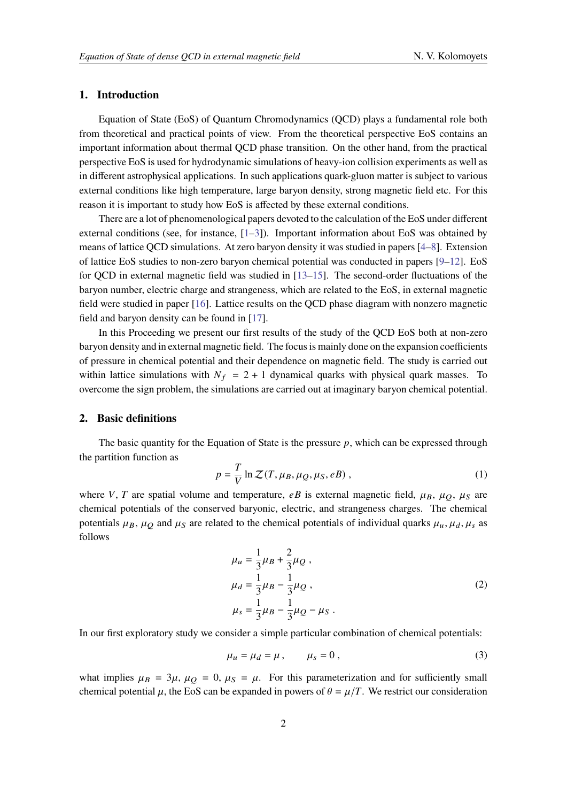#### **1. Introduction**

Equation of State (EoS) of Quantum Chromodynamics (QCD) plays a fundamental role both from theoretical and practical points of view. From the theoretical perspective EoS contains an important information about thermal QCD phase transition. On the other hand, from the practical perspective EoS is used for hydrodynamic simulations of heavy-ion collision experiments as well as in different astrophysical applications. In such applications quark-gluon matter is subject to various external conditions like high temperature, large baryon density, strong magnetic field etc. For this reason it is important to study how EoS is affected by these external conditions.

There are a lot of phenomenological papers devoted to the calculation of the EoS under different external conditions (see, for instance,  $[1-3]$  $[1-3]$ ). Important information about EoS was obtained by means of lattice QCD simulations. At zero baryon density it was studied in papers [\[4–](#page-6-2)[8\]](#page-7-0). Extension of lattice EoS studies to non-zero baryon chemical potential was conducted in papers [\[9–](#page-7-1)[12\]](#page-7-2). EoS for QCD in external magnetic field was studied in [\[13–](#page-7-3)[15\]](#page-7-4). The second-order fluctuations of the baryon number, electric charge and strangeness, which are related to the EoS, in external magnetic field were studied in paper [\[16\]](#page-7-5). Lattice results on the QCD phase diagram with nonzero magnetic field and baryon density can be found in [\[17\]](#page-7-6).

In this Proceeding we present our first results of the study of the QCD EoS both at non-zero baryon density and in external magnetic field. The focus is mainly done on the expansion coefficients of pressure in chemical potential and their dependence on magnetic field. The study is carried out within lattice simulations with  $N_f = 2 + 1$  dynamical quarks with physical quark masses. To overcome the sign problem, the simulations are carried out at imaginary baryon chemical potential.

## **2. Basic definitions**

The basic quantity for the Equation of State is the pressure  $p$ , which can be expressed through the partition function as

$$
p = \frac{T}{V} \ln \mathcal{Z}(T, \mu_B, \mu_Q, \mu_S, eB) ,
$$
 (1)

where V, T are spatial volume and temperature, eB is external magnetic field,  $\mu_B$ ,  $\mu_O$ ,  $\mu_S$  are chemical potentials of the conserved baryonic, electric, and strangeness charges. The chemical potentials  $\mu_B$ ,  $\mu_O$  and  $\mu_S$  are related to the chemical potentials of individual quarks  $\mu_u$ ,  $\mu_d$ ,  $\mu_s$  as follows

$$
\mu_u = \frac{1}{3}\mu_B + \frac{2}{3}\mu_Q ,
$$
  
\n
$$
\mu_d = \frac{1}{3}\mu_B - \frac{1}{3}\mu_Q ,
$$
  
\n
$$
\mu_s = \frac{1}{3}\mu_B - \frac{1}{3}\mu_Q - \mu_S .
$$
\n(2)

In our first exploratory study we consider a simple particular combination of chemical potentials:

$$
\mu_u = \mu_d = \mu, \qquad \mu_s = 0, \tag{3}
$$

what implies  $\mu_B = 3\mu$ ,  $\mu_O = 0$ ,  $\mu_S = \mu$ . For this parameterization and for sufficiently small chemical potential  $\mu$ , the EoS can be expanded in powers of  $\theta = \mu/T$ . We restrict our consideration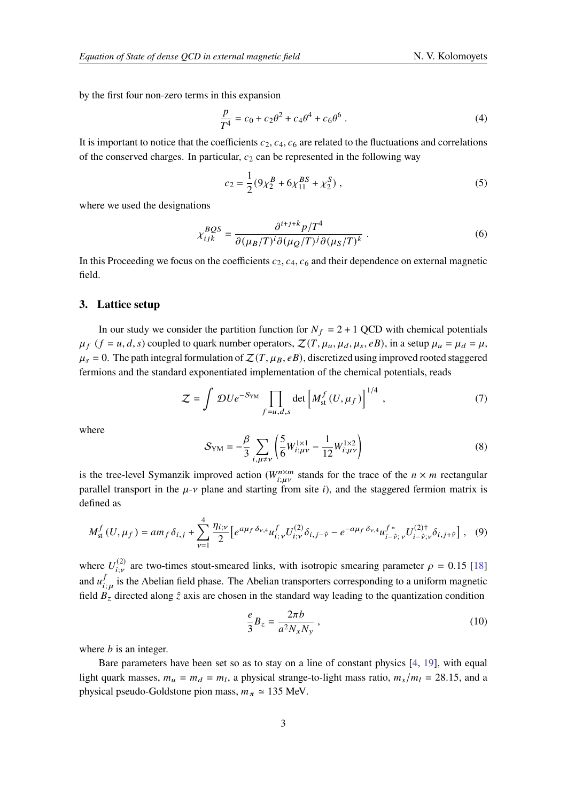by the first four non-zero terms in this expansion

$$
\frac{p}{T^4} = c_0 + c_2 \theta^2 + c_4 \theta^4 + c_6 \theta^6 \,. \tag{4}
$$

It is important to notice that the coefficients  $c_2$ ,  $c_4$ ,  $c_6$  are related to the fluctuations and correlations of the conserved charges. In particular,  $c_2$  can be represented in the following way

<span id="page-2-0"></span>
$$
c_2 = \frac{1}{2} (9\chi_2^B + 6\chi_{11}^{BS} + \chi_2^S) , \qquad (5)
$$

where we used the designations

$$
\chi_{ijk}^{BQS} = \frac{\partial^{i+j+k} p/T^4}{\partial (\mu_B/T)^i \partial (\mu_O/T)^j \partial (\mu_S/T)^k} \ . \tag{6}
$$

In this Proceeding we focus on the coefficients  $c_2$ ,  $c_4$ ,  $c_6$  and their dependence on external magnetic field.

#### **3. Lattice setup**

In our study we consider the partition function for  $N_f = 2 + 1$  QCD with chemical potentials  $\mu_f$  ( $f = u, d, s$ ) coupled to quark number operators,  $\mathcal{Z}(T, \mu_u, \mu_d, \mu_s, eB)$ , in a setup  $\mu_u = \mu_d = \mu$ ,  $\mu_s = 0$ . The path integral formulation of  $\mathcal{Z}(T, \mu_B, eB)$ , discretized using improved rooted staggered fermions and the standard exponentiated implementation of the chemical potentials, reads

$$
Z = \int DU e^{-S_{YM}} \prod_{f=u,d,s} \det \left[ M_{st}^f(U,\mu_f) \right]^{1/4}, \qquad (7)
$$

where

$$
S_{\rm YM} = -\frac{\beta}{3} \sum_{i,\mu \neq \nu} \left( \frac{5}{6} W_{i;\mu\nu}^{1 \times 1} - \frac{1}{12} W_{i;\mu\nu}^{1 \times 2} \right)
$$
(8)

is the tree-level Symanzik improved action ( $W_{i,u,v}^{n \times m}$  stands for the trace of the  $n \times m$  rectangular parallel transport in the  $\mu$ - $\nu$  plane and starting from site i), and the staggered fermion matrix is defined as

$$
M_{\rm st}^f(U,\mu_f) = am_f \,\delta_{i,j} + \sum_{\nu=1}^4 \frac{\eta_{i;\nu}}{2} \left[ e^{a\mu_f \,\delta_{\nu,4}} u_{i;\nu}^f U_{i;\nu}^{(2)} \delta_{i,j-\hat{\nu}} - e^{-a\mu_f \,\delta_{\nu,4}} u_{i-\hat{\nu};\nu}^{f^*} U_{i-\hat{\nu};\nu}^{(2)\dagger} \delta_{i,j+\hat{\nu}} \right], \tag{9}
$$

where  $U_{i,v}^{(2)}$  are two-times stout-smeared links, with isotropic smearing parameter  $\rho = 0.15$  [\[18\]](#page-7-7) and  $u^f$  $\int_{i,u}^{f}$  is the Abelian field phase. The Abelian transporters corresponding to a uniform magnetic field  $B<sub>z</sub>$  directed along  $\hat{z}$  axis are chosen in the standard way leading to the quantization condition

$$
\frac{e}{3}B_z = \frac{2\pi b}{a^2 N_x N_y},\qquad(10)
$$

where  $b$  is an integer.

Bare parameters have been set so as to stay on a line of constant physics [\[4,](#page-6-2) [19\]](#page-7-8), with equal light quark masses,  $m_u = m_d = m_l$ , a physical strange-to-light mass ratio,  $m_s/m_l = 28.15$ , and a physical pseudo-Goldstone pion mass,  $m_{\pi} \approx 135$  MeV.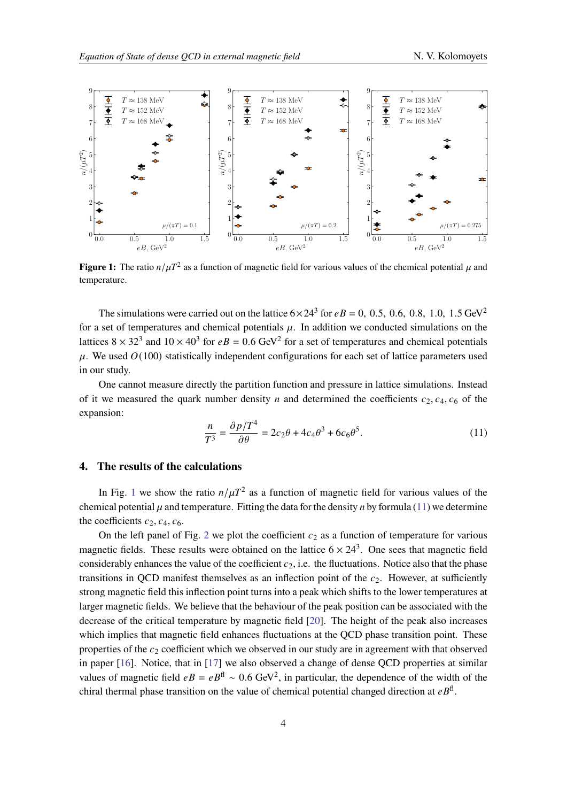<span id="page-3-0"></span>

**Figure 1:** The ratio  $n/\mu T^2$  as a function of magnetic field for various values of the chemical potential  $\mu$  and temperature.

The simulations were carried out on the lattice  $6 \times 24^3$  for  $eB = 0$ , 0.5, 0.6, 0.8, 1.0, 1.5 GeV<sup>2</sup> for a set of temperatures and chemical potentials  $\mu$ . In addition we conducted simulations on the lattices  $8 \times 32^3$  and  $10 \times 40^3$  for  $eB = 0.6$  GeV<sup>2</sup> for a set of temperatures and chemical potentials  $\mu$ . We used  $O(100)$  statistically independent configurations for each set of lattice parameters used in our study.

One cannot measure directly the partition function and pressure in lattice simulations. Instead of it we measured the quark number density *n* and determined the coefficients  $c_2, c_4, c_6$  of the expansion:

<span id="page-3-1"></span>
$$
\frac{n}{T^3} = \frac{\partial p/T^4}{\partial \theta} = 2c_2\theta + 4c_4\theta^3 + 6c_6\theta^5.
$$
 (11)

# **4. The results of the calculations**

In Fig. [1](#page-3-0) we show the ratio  $n/\mu T^2$  as a function of magnetic field for various values of the chemical potential  $\mu$  and temperature. Fitting the data for the density *n* by formula [\(11\)](#page-3-1) we determine the coefficients  $c_2$ ,  $c_4$ ,  $c_6$ .

On the left panel of Fig. [2](#page-4-0) we plot the coefficient  $c_2$  as a function of temperature for various magnetic fields. These results were obtained on the lattice  $6 \times 24^3$ . One sees that magnetic field considerably enhances the value of the coefficient  $c<sub>2</sub>$ , i.e. the fluctuations. Notice also that the phase transitions in QCD manifest themselves as an inflection point of the  $c_2$ . However, at sufficiently strong magnetic field this inflection point turns into a peak which shifts to the lower temperatures at larger magnetic fields. We believe that the behaviour of the peak position can be associated with the decrease of the critical temperature by magnetic field [\[20\]](#page-7-9). The height of the peak also increases which implies that magnetic field enhances fluctuations at the QCD phase transition point. These properties of the  $c_2$  coefficient which we observed in our study are in agreement with that observed in paper [\[16\]](#page-7-5). Notice, that in [\[17\]](#page-7-6) we also observed a change of dense QCD properties at similar values of magnetic field  $eB = eB^{\text{fl}} \sim 0.6 \text{ GeV}^2$ , in particular, the dependence of the width of the chiral thermal phase transition on the value of chemical potential changed direction at  $e^{i\theta}$ .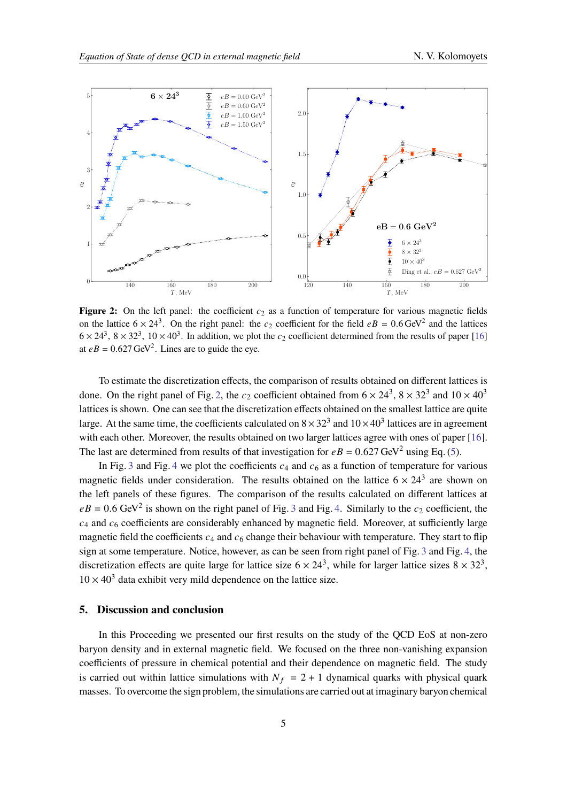<span id="page-4-0"></span>

**Figure 2:** On the left panel: the coefficient  $c_2$  as a function of temperature for various magnetic fields on the lattice  $6 \times 24^3$ . On the right panel: the  $c_2$  coefficient for the field  $eB = 0.6 \text{ GeV}^2$  and the lattices  $6 \times 24^3$ ,  $8 \times 32^3$ ,  $10 \times 40^3$ . In addition, we plot the  $c_2$  coefficient determined from the results of paper [\[16\]](#page-7-5) at  $eB = 0.627 \text{ GeV}^2$ . Lines are to guide the eye.

To estimate the discretization effects, the comparison of results obtained on different lattices is done. On the right panel of Fig. [2,](#page-4-0) the  $c_2$  coefficient obtained from  $6 \times 24^3$ ,  $8 \times 32^3$  and  $10 \times 40^3$ lattices is shown. One can see that the discretization effects obtained on the smallest lattice are quite large. At the same time, the coefficients calculated on  $8 \times 32^3$  and  $10 \times 40^3$  lattices are in agreement with each other. Moreover, the results obtained on two larger lattices agree with ones of paper [\[16\]](#page-7-5). The last are determined from results of that investigation for  $eB = 0.627 \text{ GeV}^2$  using Eq. [\(5\)](#page-2-0).

In Fig. [3](#page-5-0) and Fig. [4](#page-5-1) we plot the coefficients  $c_4$  and  $c_6$  as a function of temperature for various magnetic fields under consideration. The results obtained on the lattice  $6 \times 24^3$  are shown on the left panels of these figures. The comparison of the results calculated on different lattices at  $eB = 0.6$  GeV<sup>2</sup> is shown on the right panel of Fig. [3](#page-5-0) and Fig. [4.](#page-5-1) Similarly to the  $c_2$  coefficient, the  $c_4$  and  $c_6$  coefficients are considerably enhanced by magnetic field. Moreover, at sufficiently large magnetic field the coefficients  $c_4$  and  $c_6$  change their behaviour with temperature. They start to flip sign at some temperature. Notice, however, as can be seen from right panel of Fig. [3](#page-5-0) and Fig. [4,](#page-5-1) the discretization effects are quite large for lattice size  $6 \times 24^3$ , while for larger lattice sizes  $8 \times 32^3$ ,  $10 \times 40^3$  data exhibit very mild dependence on the lattice size.

## **5. Discussion and conclusion**

In this Proceeding we presented our first results on the study of the QCD EoS at non-zero baryon density and in external magnetic field. We focused on the three non-vanishing expansion coefficients of pressure in chemical potential and their dependence on magnetic field. The study is carried out within lattice simulations with  $N_f = 2 + 1$  dynamical quarks with physical quark masses. To overcome the sign problem, the simulations are carried out at imaginary baryon chemical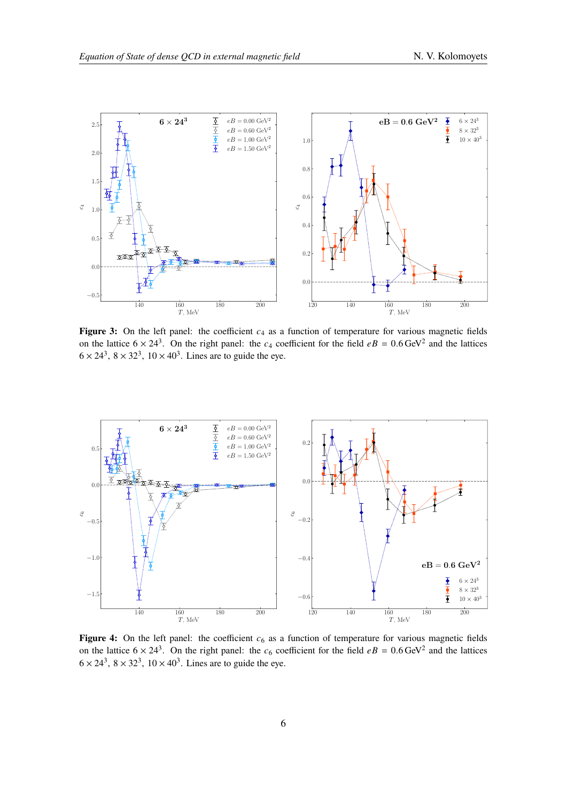<span id="page-5-0"></span>

**Figure 3:** On the left panel: the coefficient  $c_4$  as a function of temperature for various magnetic fields on the lattice  $6 \times 24^3$ . On the right panel: the  $c_4$  coefficient for the field  $eB = 0.6 \text{ GeV}^2$  and the lattices  $6 \times 24^3$ ,  $8 \times 32^3$ ,  $10 \times 40^3$ . Lines are to guide the eye.

<span id="page-5-1"></span>

**Figure 4:** On the left panel: the coefficient  $c<sub>6</sub>$  as a function of temperature for various magnetic fields on the lattice  $6 \times 24^3$ . On the right panel: the  $c_6$  coefficient for the field  $eB = 0.6$  GeV<sup>2</sup> and the lattices  $6 \times 24^3$ ,  $8 \times 32^3$ ,  $10 \times 40^3$ . Lines are to guide the eye.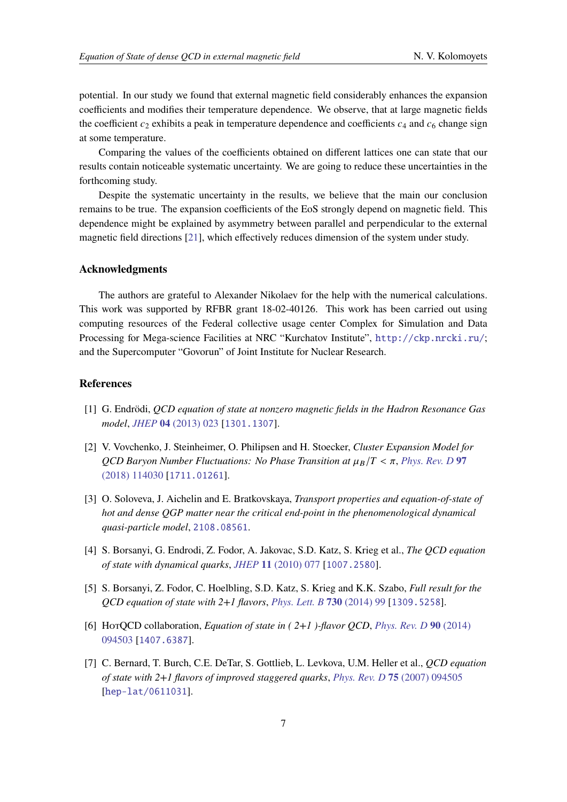potential. In our study we found that external magnetic field considerably enhances the expansion coefficients and modifies their temperature dependence. We observe, that at large magnetic fields the coefficient  $c_2$  exhibits a peak in temperature dependence and coefficients  $c_4$  and  $c_6$  change sign at some temperature.

Comparing the values of the coefficients obtained on different lattices one can state that our results contain noticeable systematic uncertainty. We are going to reduce these uncertainties in the forthcoming study.

Despite the systematic uncertainty in the results, we believe that the main our conclusion remains to be true. The expansion coefficients of the EoS strongly depend on magnetic field. This dependence might be explained by asymmetry between parallel and perpendicular to the external magnetic field directions [\[21\]](#page-7-10), which effectively reduces dimension of the system under study.

#### **Acknowledgments**

The authors are grateful to Alexander Nikolaev for the help with the numerical calculations. This work was supported by RFBR grant 18-02-40126. This work has been carried out using computing resources of the Federal collective usage center Complex for Simulation and Data Processing for Mega-science Facilities at NRC "Kurchatov Institute", <http://ckp.nrcki.ru/>; and the Supercomputer "Govorun" of Joint Institute for Nuclear Research.

#### **References**

- <span id="page-6-0"></span>[1] G. Endrödi, *QCD equation of state at nonzero magnetic fields in the Hadron Resonance Gas model*, *JHEP* **04** [\(2013\) 023](https://doi.org/10.1007/JHEP04(2013)023) [[1301.1307](https://arxiv.org/abs/1301.1307)].
- [2] V. Vovchenko, J. Steinheimer, O. Philipsen and H. Stoecker, *Cluster Expansion Model for QCD Baryon Number Fluctuations: No Phase Transition at*  $\mu_B/T < \pi$ , *[Phys. Rev. D](https://doi.org/10.1103/PhysRevD.97.114030)* 97 [\(2018\) 114030](https://doi.org/10.1103/PhysRevD.97.114030) [[1711.01261](https://arxiv.org/abs/1711.01261)].
- <span id="page-6-1"></span>[3] O. Soloveva, J. Aichelin and E. Bratkovskaya, *Transport properties and equation-of-state of hot and dense QGP matter near the critical end-point in the phenomenological dynamical quasi-particle model*, [2108.08561](https://arxiv.org/abs/2108.08561).
- <span id="page-6-2"></span>[4] S. Borsanyi, G. Endrodi, Z. Fodor, A. Jakovac, S.D. Katz, S. Krieg et al., *The QCD equation of state with dynamical quarks*, *JHEP* **11** [\(2010\) 077](https://doi.org/10.1007/JHEP11(2010)077) [[1007.2580](https://arxiv.org/abs/1007.2580)].
- [5] S. Borsanyi, Z. Fodor, C. Hoelbling, S.D. Katz, S. Krieg and K.K. Szabo, *Full result for the QCD equation of state with 2+1 flavors*, *[Phys. Lett. B](https://doi.org/10.1016/j.physletb.2014.01.007)* **730** (2014) 99 [[1309.5258](https://arxiv.org/abs/1309.5258)].
- [6] HotQCD collaboration, *Equation of state in ( 2+1 )-flavor QCD*, *[Phys. Rev. D](https://doi.org/10.1103/PhysRevD.90.094503)* **90** (2014) [094503](https://doi.org/10.1103/PhysRevD.90.094503) [[1407.6387](https://arxiv.org/abs/1407.6387)].
- [7] C. Bernard, T. Burch, C.E. DeTar, S. Gottlieb, L. Levkova, U.M. Heller et al., *QCD equation of state with 2+1 flavors of improved staggered quarks*, *[Phys. Rev. D](https://doi.org/10.1103/PhysRevD.75.094505)* **75** (2007) 094505 [[hep-lat/0611031](https://arxiv.org/abs/hep-lat/0611031)].